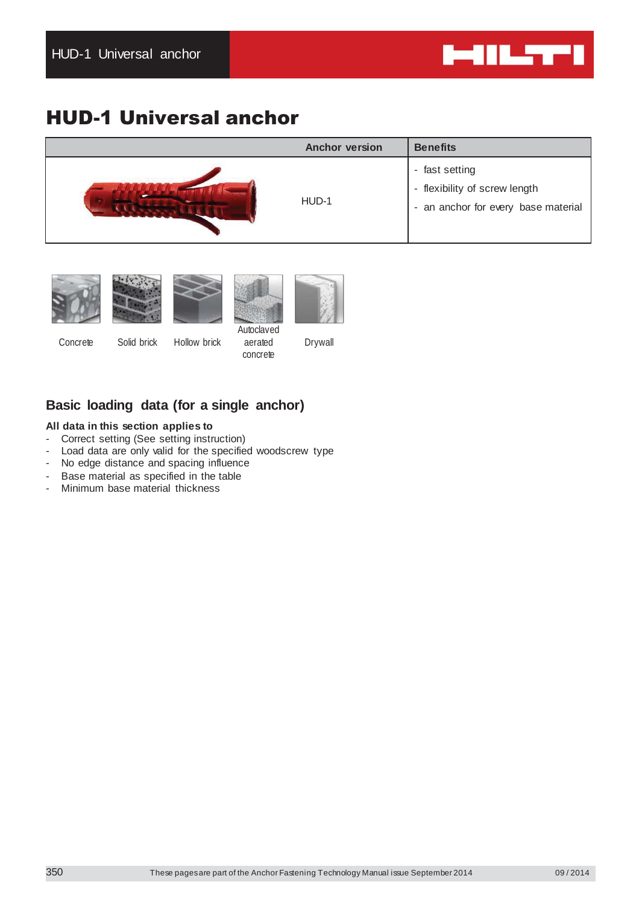

# HUD-1 Universal anchor

| <b>Anchor version</b> | <b>Benefits</b>                                                                        |
|-----------------------|----------------------------------------------------------------------------------------|
| HUD-1                 | - fast setting<br>- flexibility of screw length<br>- an anchor for every base material |









Concrete Solid brick Hollow brick

aerated concrete

Drywall

# **Basic loading data (for a single anchor)**

## **All data in this section applies to**

- Correct setting (See setting instruction)
- Load data are only valid for the specified woodscrew type
- No edge distance and spacing influence
- Base material as specified in the table
- Minimum base material thickness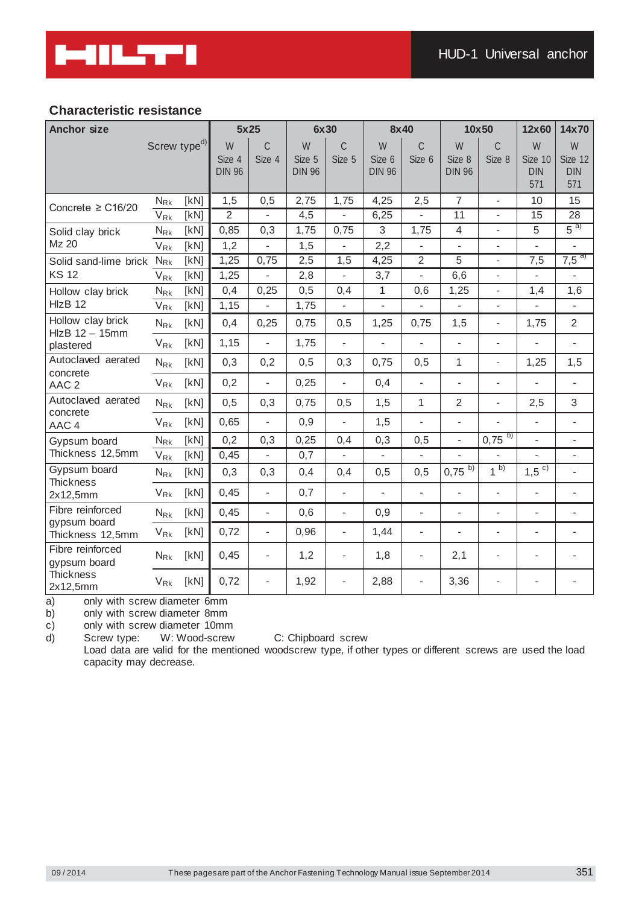# **Characteristic resistance**

| <b>Anchor size</b>                    |                            |                          | 5x25                         |                          | 6x30                         |                          | 8x40                         |                          |                              | 10x50                    | 12x60                             | 14x70                             |
|---------------------------------------|----------------------------|--------------------------|------------------------------|--------------------------|------------------------------|--------------------------|------------------------------|--------------------------|------------------------------|--------------------------|-----------------------------------|-----------------------------------|
|                                       |                            | Screw type <sup>d)</sup> | W<br>Size 4<br><b>DIN 96</b> | C<br>Size 4              | W<br>Size 5<br><b>DIN 96</b> | C<br>Size 5              | W<br>Size 6<br><b>DIN 96</b> | $\mathcal{C}$<br>Size 6  | W<br>Size 8<br><b>DIN 96</b> | C<br>Size 8              | W<br>Size 10<br><b>DIN</b><br>571 | W<br>Size 12<br><b>DIN</b><br>571 |
| Concrete $\geq$ C16/20                | $N_{\mathsf{Rk}}$          | [kN]                     | 1,5                          | 0,5                      | 2,75                         | 1,75                     | 4,25                         | 2,5                      | $\overline{7}$               | $\overline{a}$           | 10                                | 15                                |
|                                       | $V_{\rm Rk}$               | [kN]                     | $\overline{2}$               |                          | 4,5                          | $\overline{\phantom{a}}$ | 6,25                         |                          | 11                           |                          | 15                                | 28                                |
| Solid clay brick                      | $N_{\rm Rk}$               | [kN]                     | 0,85                         | 0,3                      | 1,75                         | 0,75                     | 3                            | 1,75                     | $\overline{4}$               | $\overline{\phantom{0}}$ | 5                                 | $5^{a)}$                          |
| Mz 20                                 | $\mathsf{V}_{\mathsf{Rk}}$ | [kN]                     | 1,2                          | $\overline{\phantom{0}}$ | 1,5                          | $\overline{\phantom{a}}$ | 2,2                          | $\overline{a}$           | $\blacksquare$               | $\overline{\phantom{0}}$ | L.                                | $\overline{\phantom{0}}$          |
| Solid sand-lime brick                 | $N_{\rm Rk}$               | [KN]                     | 1,25                         | 0,75                     | 2,5                          | 1,5                      | 4,25                         | $\overline{2}$           | 5                            | $\overline{\phantom{0}}$ | 7,5                               | $7,5^{a}$                         |
| <b>KS 12</b>                          | $V_{\rm Rk}$               | [KN]                     | 1,25                         | $\overline{a}$           | 2,8                          | $\overline{\phantom{a}}$ | 3,7                          | $\overline{a}$           | 6,6                          | $\overline{\phantom{a}}$ | $\blacksquare$                    | $\overline{\phantom{a}}$          |
| Hollow clay brick<br>HIzB 12          | $N_{\rm Rk}$               | [KN]                     | 0,4                          | 0,25                     | 0,5                          | 0,4                      | 1                            | 0,6                      | 1,25                         | $\overline{a}$           | 1,4                               | 1,6                               |
|                                       | $V_{\rm Rk}$               | [kN]                     | 1,15                         |                          | 1,75                         |                          | $\overline{\phantom{0}}$     |                          | $\overline{\phantom{a}}$     | $\overline{\phantom{0}}$ |                                   | $\overline{\phantom{0}}$          |
| Hollow clay brick<br>$HIZB$ 12 - 15mm | $N_{\rm Rk}$               | [KN]                     | 0,4                          | 0,25                     | 0,75                         | 0,5                      | 1,25                         | 0,75                     | 1,5                          | $\overline{\phantom{a}}$ | 1,75                              | $\overline{2}$                    |
| plastered                             | $V_{\mathsf{Rk}}$          | [KN]                     | 1,15                         | $\overline{\phantom{0}}$ | 1,75                         | $\overline{\phantom{a}}$ | $\overline{\phantom{0}}$     | $\overline{a}$           | $\blacksquare$               | $\blacksquare$           | $\overline{a}$                    | $\blacksquare$                    |
| Autoclaved aerated<br>concrete        | $N_{\rm Rk}$               | [KN]                     | 0,3                          | 0,2                      | 0,5                          | 0,3                      | 0,75                         | 0,5                      | 1                            | $\overline{a}$           | 1,25                              | 1,5                               |
| AAC <sub>2</sub>                      | $V_{\mathsf{Rk}}$          | [kN]                     | 0,2                          | $\blacksquare$           | 0,25                         | $\blacksquare$           | 0,4                          | $\overline{a}$           | $\blacksquare$               | $\overline{\phantom{0}}$ | $\mathbf{r}$                      | $\blacksquare$                    |
| Autoclaved aerated                    | $N_{\rm Rk}$               | [KN]                     | 0,5                          | 0,3                      | 0,75                         | 0,5                      | 1,5                          | $\mathbf{1}$             | $\overline{2}$               | $\frac{1}{2}$            | 2,5                               | 3                                 |
| concrete<br>AAC 4                     | $V_{\mathsf{Rk}}$          | [KN]                     | 0,65                         | $\overline{a}$           | 0,9                          | $\overline{\phantom{a}}$ | 1,5                          | $\overline{a}$           | $\overline{\phantom{a}}$     | $\frac{1}{2}$            | $\overline{a}$                    | $\overline{\phantom{a}}$          |
| Gypsum board                          | $N_{\rm Rk}$               | [kN]                     | 0,2                          | 0,3                      | 0,25                         | 0,4                      | 0,3                          | 0,5                      | $\overline{\phantom{a}}$     | $0,75^{6}$               | $\overline{a}$                    | $\overline{\phantom{a}}$          |
| Thickness 12,5mm                      | $\mathsf{V}_{\mathsf{Rk}}$ | [KN]                     | 0,45                         | $\overline{a}$           | 0,7                          | $\overline{\phantom{a}}$ | $\overline{\phantom{0}}$     | $\overline{a}$           |                              |                          | $\overline{a}$                    | $\overline{\phantom{0}}$          |
| Gypsum board<br><b>Thickness</b>      | $N_{\rm Rk}$               | [KN]                     | 0,3                          | 0,3                      | 0,4                          | 0,4                      | 0,5                          | 0,5                      | $0,75^{6}$                   | $1^{b}$                  | $1,5^{c}$                         | $\overline{\phantom{a}}$          |
| 2x12,5mm                              | $V_{\rm Rk}$               | [kN]                     | 0,45                         | $\blacksquare$           | 0,7                          | $\overline{\phantom{a}}$ | $\overline{\phantom{a}}$     | $\overline{a}$           | $\blacksquare$               | $\overline{\phantom{a}}$ | $\blacksquare$                    | $\overline{\phantom{a}}$          |
| Fibre reinforced<br>gypsum board      | $N_{\rm Rk}$               | [KN]                     | 0,45                         | $\blacksquare$           | 0,6                          | $\blacksquare$           | 0,9                          | $\overline{a}$           | $\overline{\phantom{a}}$     | $\frac{1}{2}$            | $\frac{1}{2}$                     | $\overline{\phantom{0}}$          |
| Thickness 12,5mm                      | $V_{\mathsf{Rk}}$          | [KN]                     | 0,72                         | $\overline{\phantom{0}}$ | 0,96                         | $\overline{\phantom{a}}$ | 1,44                         | $\frac{1}{2}$            | $\overline{\phantom{a}}$     | $\overline{a}$           | $\overline{a}$                    | $\overline{\phantom{0}}$          |
| Fibre reinforced<br>gypsum board      | $N_{\rm Rk}$               | [KN]                     | 0,45                         | $\overline{\phantom{a}}$ | 1,2                          | $\overline{\phantom{a}}$ | 1,8                          | $\overline{\phantom{a}}$ | 2,1                          | $\overline{\phantom{a}}$ | $\overline{\phantom{0}}$          | $\blacksquare$                    |
| <b>Thickness</b><br>2x12,5mm          | $V_{\mathsf{Rk}}$          | [kN]                     | 0,72                         | $\overline{\phantom{a}}$ | 1,92                         | $\blacksquare$           | 2,88                         | $\overline{\phantom{a}}$ | 3,36                         | $\overline{\phantom{a}}$ |                                   |                                   |

a) only with screw diameter 6mm

b) only with screw diameter 8mm

c) only with screw diameter 10mm

d) Screw type: W: Wood-screw C: Chipboard screw

Load data are valid for the mentioned woodscrew type, if other types or different screws are used the load capacity may decrease.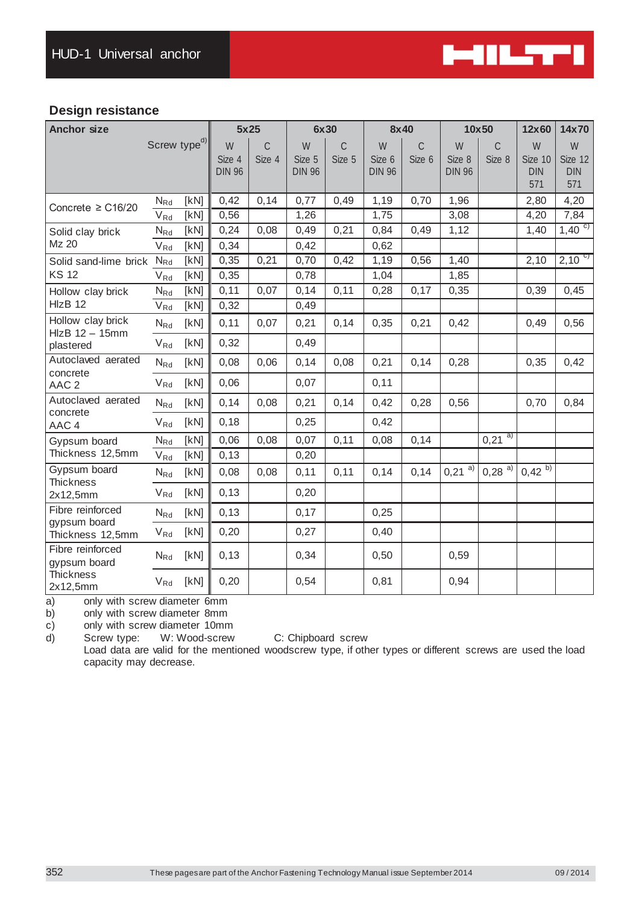

# **Design resistance**

| <b>Anchor size</b>                    |                            |                          |                              | 5x25        |                              | 6x30                    | 8x40                         |                         |                              | 10x50                   | 12x60                             | 14x70                             |
|---------------------------------------|----------------------------|--------------------------|------------------------------|-------------|------------------------------|-------------------------|------------------------------|-------------------------|------------------------------|-------------------------|-----------------------------------|-----------------------------------|
|                                       |                            | Screw type <sup>d)</sup> | W<br>Size 4<br><b>DIN 96</b> | C<br>Size 4 | W<br>Size 5<br><b>DIN 96</b> | $\mathcal{C}$<br>Size 5 | W<br>Size 6<br><b>DIN 96</b> | $\mathcal{C}$<br>Size 6 | W<br>Size 8<br><b>DIN 96</b> | $\mathcal{C}$<br>Size 8 | W<br>Size 10<br><b>DIN</b><br>571 | W<br>Size 12<br><b>DIN</b><br>571 |
| Concrete $\geq$ C16/20                | $N_{Rd}$                   | [kN]                     | 0,42                         | 0,14        | 0,77                         | 0,49                    | 1,19                         | 0,70                    | 1,96                         |                         | 2,80                              | 4,20                              |
|                                       | $V_{Rd}$                   | [KN]                     | 0,56                         |             | 1,26                         |                         | 1,75                         |                         | 3,08                         |                         | 4,20                              | 7,84                              |
| Solid clay brick                      | $N_{Rd}$                   | [kN]                     | 0,24                         | 0,08        | 0,49                         | 0,21                    | 0,84                         | 0,49                    | 1,12                         |                         | 1,40                              | $1,40^{c}$                        |
| Mz 20                                 | $V_{Rd}$                   | [kN]                     | 0,34                         |             | 0,42                         |                         | 0,62                         |                         |                              |                         |                                   |                                   |
| Solid sand-lime brick                 | $N_{Rd}$                   | [KN]                     | 0,35                         | 0,21        | 0,70                         | 0,42                    | 1,19                         | 0,56                    | 1,40                         |                         | 2,10                              | $2,10^{c}$                        |
| <b>KS 12</b>                          | $\mathsf{V}_{\mathsf{Rd}}$ | [KN]                     | 0,35                         |             | 0,78                         |                         | 1,04                         |                         | 1,85                         |                         |                                   |                                   |
| Hollow clay brick                     | $N_{Rd}$                   | [kN]                     | 0,11                         | 0,07        | 0, 14                        | 0,11                    | 0,28                         | 0,17                    | 0,35                         |                         | 0,39                              | 0,45                              |
| HIzB 12                               | V <sub>Rd</sub>            | [kN]                     | 0,32                         |             | 0,49                         |                         |                              |                         |                              |                         |                                   |                                   |
| Hollow clay brick<br>$HIZB$ 12 - 15mm | $N_{Rd}$                   | [kN]                     | 0,11                         | 0,07        | 0,21                         | 0,14                    | 0,35                         | 0,21                    | 0,42                         |                         | 0,49                              | 0,56                              |
| plastered                             | $V_{Rd}$                   | [kN]                     | 0,32                         |             | 0,49                         |                         |                              |                         |                              |                         |                                   |                                   |
| Autoclaved aerated                    | $N_{Rd}$                   | [KN]                     | 0,08                         | 0,06        | 0, 14                        | 0,08                    | 0,21                         | 0,14                    | 0,28                         |                         | 0,35                              | 0,42                              |
| concrete<br>AAC <sub>2</sub>          | $V_{Rd}$                   | [kN]                     | 0,06                         |             | 0,07                         |                         | 0,11                         |                         |                              |                         |                                   |                                   |
| Autoclaved aerated                    | $N_{Rd}$                   | [kN]                     | 0,14                         | 0,08        | 0,21                         | 0,14                    | 0,42                         | 0,28                    | 0,56                         |                         | 0,70                              | 0,84                              |
| concrete<br>AAC 4                     | $V_{Rd}$                   | [KN]                     | 0,18                         |             | 0,25                         |                         | 0,42                         |                         |                              |                         |                                   |                                   |
| Gypsum board                          | $N_{Rd}$                   | [kN]                     | 0,06                         | 0,08        | 0,07                         | 0,11                    | 0,08                         | 0,14                    |                              | $0,21^{a}$              |                                   |                                   |
| Thickness 12,5mm                      | $V_{Rd}$                   | [KN]                     | 0,13                         |             | 0,20                         |                         |                              |                         |                              |                         |                                   |                                   |
| Gypsum board<br><b>Thickness</b>      | $N_{Rd}$                   | [kN]                     | 0,08                         | 0,08        | 0, 11                        | 0,11                    | 0, 14                        | 0,14                    | $0,21^{a}$                   | $0,28^{a}$              | $0,42^{b}$                        |                                   |
| 2x12,5mm                              | $V_{Rd}$                   | [KN]                     | 0,13                         |             | 0,20                         |                         |                              |                         |                              |                         |                                   |                                   |
| Fibre reinforced                      | $N_{Rd}$                   | [KN]                     | 0,13                         |             | 0,17                         |                         | 0,25                         |                         |                              |                         |                                   |                                   |
| gypsum board<br>Thickness 12,5mm      | $V_{Rd}$                   | [kN]                     | 0,20                         |             | 0,27                         |                         | 0,40                         |                         |                              |                         |                                   |                                   |
| Fibre reinforced<br>gypsum board      | $\mathsf{N}_{\mathsf{Rd}}$ | [kN]                     | 0,13                         |             | 0,34                         |                         | 0,50                         |                         | 0,59                         |                         |                                   |                                   |
| <b>Thickness</b><br>2x12,5mm          | $V_{Rd}$                   | [kN]                     | 0,20                         |             | 0,54                         |                         | 0,81                         |                         | 0,94                         |                         |                                   |                                   |

a) only with screw diameter 6mm

b) only with screw diameter 8mm

c) only with screw diameter 10mm

d) Screw type: W: Wood-screw C: Chipboard screw

Load data are valid for the mentioned woodscrew type, if other types or different screws are used the load capacity may decrease.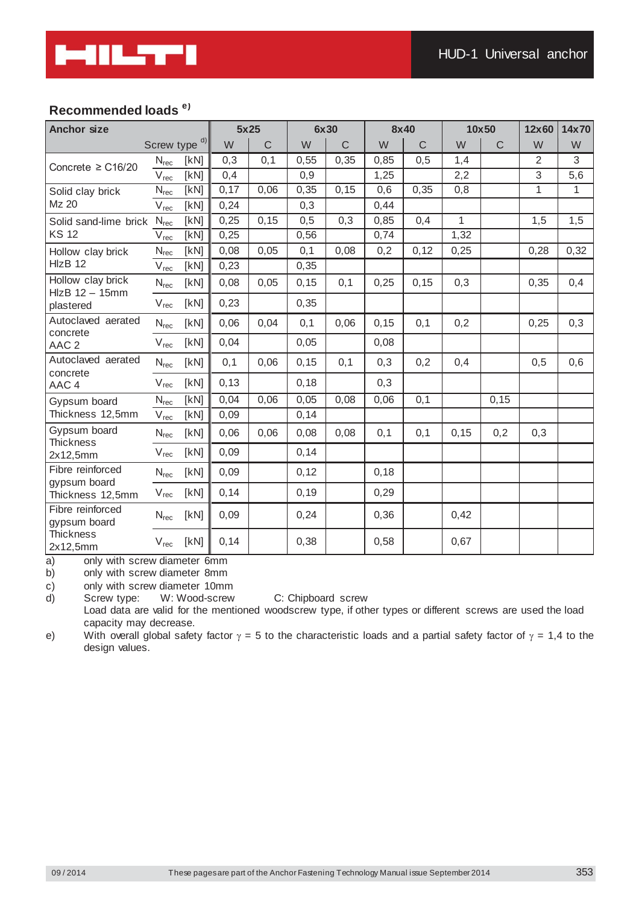

# **Recommended loads e)**

| <b>Anchor size</b>                  |                  |               | 5x25 |             | 6x30  |             | 8x40  |             | 10x50 |             | 12x60          | 14x70 |
|-------------------------------------|------------------|---------------|------|-------------|-------|-------------|-------|-------------|-------|-------------|----------------|-------|
|                                     |                  | Screw type d) | W    | $\mathsf C$ | W     | $\mathsf C$ | W     | $\mathsf C$ | W     | $\mathsf C$ | W              | W     |
| Concrete $\geq$ C16/20              | $N_{rec}$        | [kN]          | 0,3  | 0,1         | 0,55  | 0,35        | 0,85  | 0,5         | 1,4   |             | $\overline{2}$ | 3     |
|                                     | V <sub>rec</sub> | [kN]          | 0,4  |             | 0,9   |             | 1,25  |             | 2,2   |             | 3              | 5,6   |
| Solid clay brick                    | $N_{\text{rec}}$ | [kN]          | 0,17 | 0,06        | 0,35  | 0, 15       | 0,6   | 0,35        | 0,8   |             | 1              | 1     |
| Mz 20                               | $V_{rec}$        | [kN]          | 0,24 |             | 0,3   |             | 0,44  |             |       |             |                |       |
| Solid sand-lime brick               | $N_{\sf rec}$    | [kN]          | 0,25 | 0, 15       | 0,5   | 0,3         | 0,85  | 0,4         | 1     |             | 1,5            | 1,5   |
| <b>KS 12</b>                        | $V_{rec}$        | [kN]          | 0,25 |             | 0,56  |             | 0,74  |             | 1,32  |             |                |       |
| Hollow clay brick                   | $N_{rec}$        | [KN]          | 0,08 | 0,05        | 0, 1  | 0,08        | 0,2   | 0,12        | 0,25  |             | 0,28           | 0,32  |
| HIzB 12                             | $V_{rec}$        | [KN]          | 0,23 |             | 0,35  |             |       |             |       |             |                |       |
| Hollow clay brick<br>HlzB 12 - 15mm | $N_{rec}$        | [KN]          | 0,08 | 0,05        | 0, 15 | 0,1         | 0,25  | 0, 15       | 0,3   |             | 0,35           | 0,4   |
| plastered                           | $V_{rec}$        | [kN]          | 0,23 |             | 0,35  |             |       |             |       |             |                |       |
| Autoclaved aerated                  | $N_{rec}$        | [KN]          | 0,06 | 0,04        | 0,1   | 0,06        | 0, 15 | 0, 1        | 0,2   |             | 0,25           | 0,3   |
| concrete<br>AAC <sub>2</sub>        | V <sub>rec</sub> | [kN]          | 0,04 |             | 0,05  |             | 0,08  |             |       |             |                |       |
| Autoclaved aerated                  | $N_{rec}$        | [KN]          | 0,1  | 0,06        | 0, 15 | 0, 1        | 0,3   | 0,2         | 0,4   |             | 0,5            | 0,6   |
| concrete<br>AAC 4                   | V <sub>rec</sub> | [KN]          | 0,13 |             | 0,18  |             | 0,3   |             |       |             |                |       |
| Gypsum board                        | $N_{rec}$        | [kN]          | 0,04 | 0,06        | 0,05  | 0,08        | 0,06  | 0,1         |       | 0, 15       |                |       |
| Thickness 12,5mm                    | $V_{rec}$        | [kN]          | 0,09 |             | 0,14  |             |       |             |       |             |                |       |
| Gypsum board<br><b>Thickness</b>    | $N_{rec}$        | [KN]          | 0,06 | 0,06        | 0,08  | 0,08        | 0,1   | 0, 1        | 0, 15 | 0,2         | 0,3            |       |
| 2x12,5mm                            | V <sub>rec</sub> | [KN]          | 0,09 |             | 0,14  |             |       |             |       |             |                |       |
| Fibre reinforced                    | $N_{rec}$        | [KN]          | 0,09 |             | 0,12  |             | 0,18  |             |       |             |                |       |
| gypsum board<br>Thickness 12,5mm    | $V_{rec}$        | [KN]          | 0,14 |             | 0, 19 |             | 0,29  |             |       |             |                |       |
| Fibre reinforced<br>gypsum board    | $N_{rec}$        | [KN]          | 0,09 |             | 0,24  |             | 0,36  |             | 0,42  |             |                |       |
| <b>Thickness</b><br>2x12,5mm        | $V_{rec}$        | [kN]          | 0,14 |             | 0,38  |             | 0,58  |             | 0,67  |             |                |       |

a) only with screw diameter 6mm

b) only with screw diameter 8mm

c) only with screw diameter 10mm

d) Screw type: W: Wood-screw C: Chipboard screw

Load data are valid for the mentioned woodscrew type, if other types or different screws are used the load capacity may decrease.

e) With overall global safety factor  $\gamma = 5$  to the characteristic loads and a partial safety factor of  $\gamma = 1,4$  to the design values.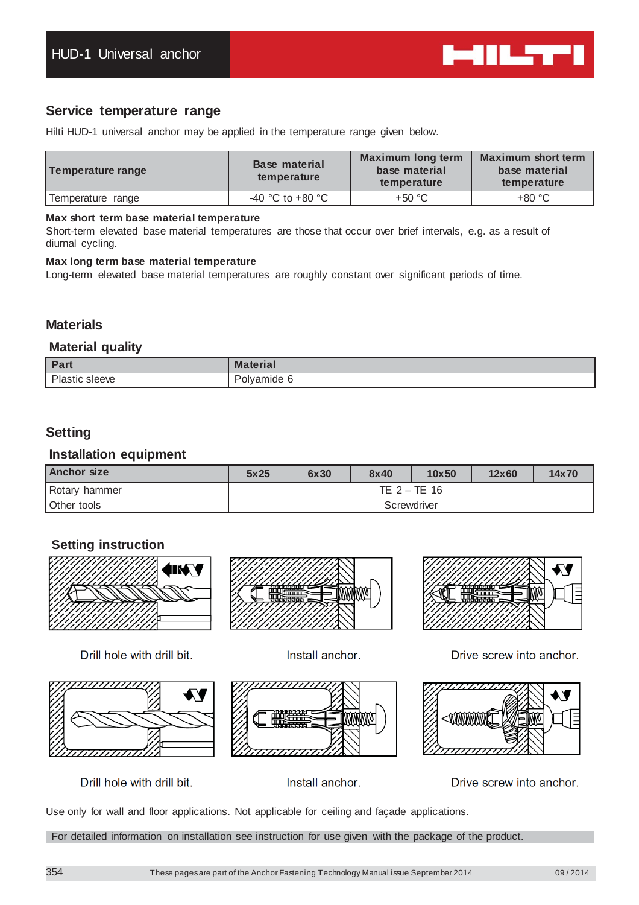

# **Service temperature range**

Hilti HUD-1 universal anchor may be applied in the temperature range given below.

| Temperature range | <b>Base material</b><br>temperature | <b>Maximum long term</b><br>base material<br>temperature | <b>Maximum short term</b><br>base material<br>temperature |
|-------------------|-------------------------------------|----------------------------------------------------------|-----------------------------------------------------------|
| Temperature range | -40 °C to +80 °C                    | +50 °C                                                   | $+80 °C$                                                  |

## **Max short term base material temperature**

Short-term elevated base material temperatures are those that occur over brief intervals, e.g. as a result of diurnal cycling.

### **Max long term base material temperature**

Long-term elevated base material temperatures are roughly constant over significant periods of time.

# **Materials**

## **Material quality**

| <b>Dow</b><br><b>rait</b> | <b>Material</b> |
|---------------------------|-----------------|
| DL.                       | mide            |
| sleeve                    | ۱۱۷.            |
| .                         |                 |

# **Setting**

## **Installation equipment**

| <b>Anchor size</b> | 5x25           | 6x30 | 8x40 | 10x50 | 12x60 | 14x70 |  |  |
|--------------------|----------------|------|------|-------|-------|-------|--|--|
| Rotary hammer      | TE $2 - TE$ 16 |      |      |       |       |       |  |  |
| Other tools        | Screwdriver    |      |      |       |       |       |  |  |

# **Setting instruction**



Drill hole with drill bit.



Install anchor.







Drill hole with drill bit.

Install anchor.

Drive screw into anchor.

Use only for wall and floor applications. Not applicable for ceiling and façade applications.

For detailed information on installation see instruction for use given with the package of the product.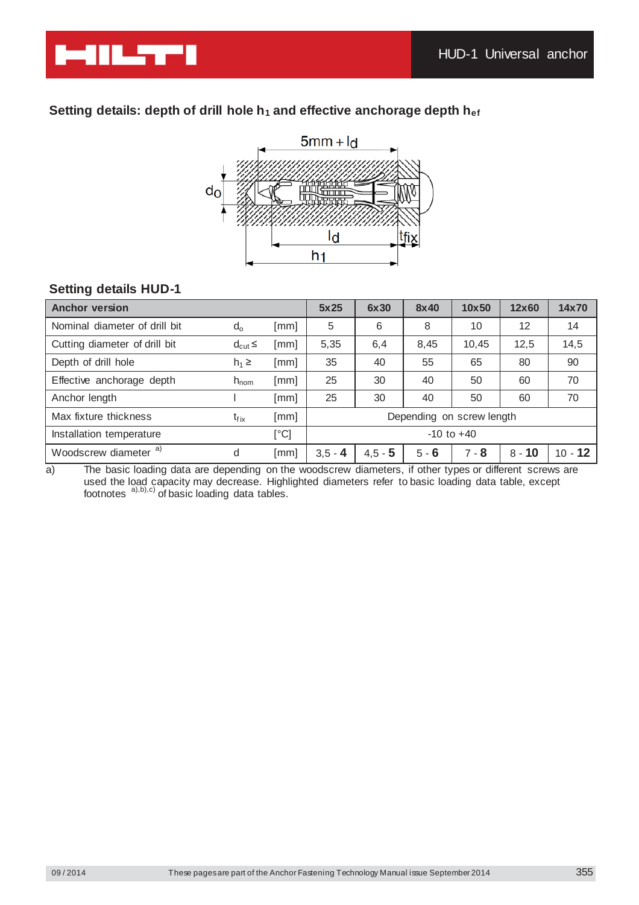

# Setting details: depth of drill hole h<sub>1</sub> and effective anchorage depth h<sub>ef</sub>



# **Setting details HUD-1**

| <b>Anchor version</b>            |                  |               | 5x25           | 6x30      | 8x40    | 10x50                     | 12x60    | 14x70     |
|----------------------------------|------------------|---------------|----------------|-----------|---------|---------------------------|----------|-----------|
| Nominal diameter of drill bit    | $d_{o}$          | [mm]          | 5              | 6         | 8       | 10                        | 12       | 14        |
| Cutting diameter of drill bit    | $d_{\text{cut}}$ | [mm]          | 5,35           | 6,4       | 8,45    | 10,45                     | 12,5     | 14,5      |
| Depth of drill hole              | $h_1 \geq$       | [mm]          | 35             | 40        | 55      | 65                        | 80       | 90        |
| Effective anchorage depth        | $h_{\text{nom}}$ | [mm]          | 25             | 30        | 40      | 50                        | 60       | 70        |
| Anchor length                    |                  | [mm]          | 25             | 30        | 40      | 50                        | 60       | 70        |
| Max fixture thickness            | $t_{fix}$        | [mm]          |                |           |         | Depending on screw length |          |           |
| Installation temperature         |                  | $[^{\circ}C]$ | $-10$ to $+40$ |           |         |                           |          |           |
| Woodscrew diameter <sup>a)</sup> | d                | [mm]          | $3,5 - 4$      | $4,5 - 5$ | $5 - 6$ | $7 - 8$                   | $8 - 10$ | $10 - 12$ |

a) The basic loading data are depending on the woodscrew diameters, if other types or different screws are used the load capacity may decrease. Highlighted diameters refer to basic loading data table, except footnotes  $a)$ , b), c) of basic loading data tables.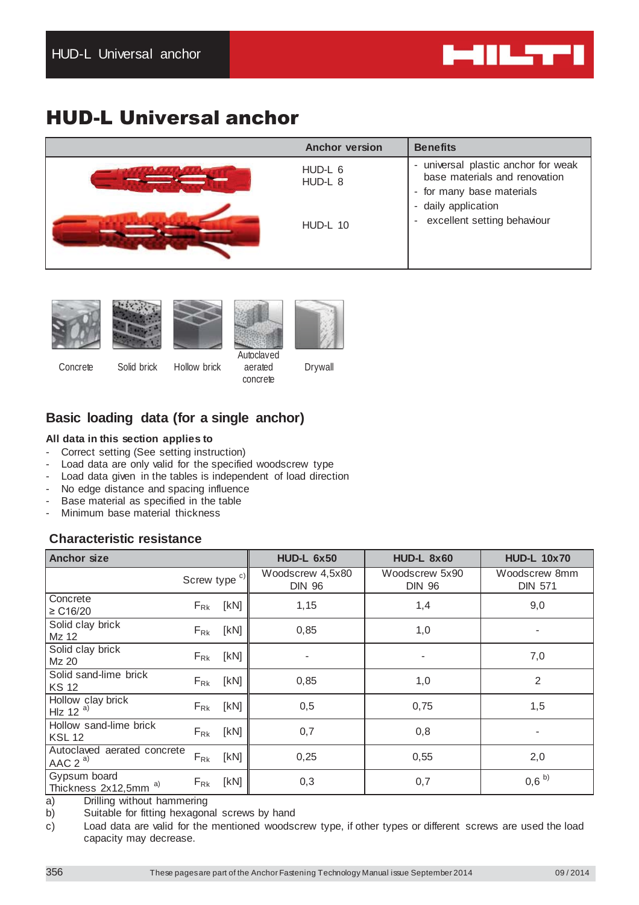

# HUD-L Universal anchor

| <b>Anchor version</b>                 | <b>Benefits</b>                                                                                                                                           |
|---------------------------------------|-----------------------------------------------------------------------------------------------------------------------------------------------------------|
| HUD-L 6<br>HUD-L 8<br><b>HUD-L 10</b> | - universal plastic anchor for weak<br>base materials and renovation<br>- for many base materials<br>- daily application<br>- excellent setting behaviour |
|                                       |                                                                                                                                                           |







aerated concrete Drywall

Concrete Solid brick Hollow brick

# **Basic loading data (for a single anchor)**

## **All data in this section applies to**

- Correct setting (See setting instruction)
- Load data are only valid for the specified woodscrew type
- Load data given in the tables is independent of load direction
- No edge distance and spacing influence
- Base material as specified in the table
- Minimum base material thickness

# **Characteristic resistance**

| <b>Anchor size</b>                               |                          | <b>HUD-L 6x50</b>                 | <b>HUD-L 8x60</b>               | <b>HUD-L 10x70</b>              |
|--------------------------------------------------|--------------------------|-----------------------------------|---------------------------------|---------------------------------|
|                                                  | Screw type <sup>c)</sup> | Woodscrew 4,5x80<br><b>DIN 96</b> | Woodscrew 5x90<br><b>DIN 96</b> | Woodscrew 8mm<br><b>DIN 571</b> |
| Concrete<br>≥ C16/20                             | [kN]<br>$F_{\rm Rk}$     | 1,15                              | 1,4                             | 9,0                             |
| Solid clay brick<br>Mz 12                        | [KN]<br>$F_{\rm Rk}$     | 0,85                              | 1,0                             |                                 |
| Solid clay brick<br>Mz 20                        | [KN]<br>$F_{\rm Rk}$     |                                   |                                 | 7,0                             |
| Solid sand-lime brick<br><b>KS12</b>             | [kN]<br>$F_{\rm Rk}$     | 0,85                              | 1,0                             | 2                               |
| Hollow clay brick<br>Hz 12 <sup>a)</sup>         | $F_{Rk}$ [kN]            | 0,5                               | 0,75                            | 1,5                             |
| Hollow sand-lime brick<br><b>KSL 12</b>          | $F_{Rk}$ [kN]            | 0,7                               | 0,8                             |                                 |
| Autoclaved aerated concrete<br>AAC $2^{a}$       | $F_{\rm Rk}$<br>[KN]     | 0,25                              | 0,55                            | 2,0                             |
| Gypsum board<br>Thickness 2x12,5mm <sup>a)</sup> | [KN]<br>$F_{\rm Rk}$     | 0,3                               | 0,7                             | $0,6^{b}$                       |

a) Drilling without hammering

b) Suitable for fitting hexagonal screws by hand

c) Load data are valid for the mentioned woodscrew type, if other types or different screws are used the load capacity may decrease.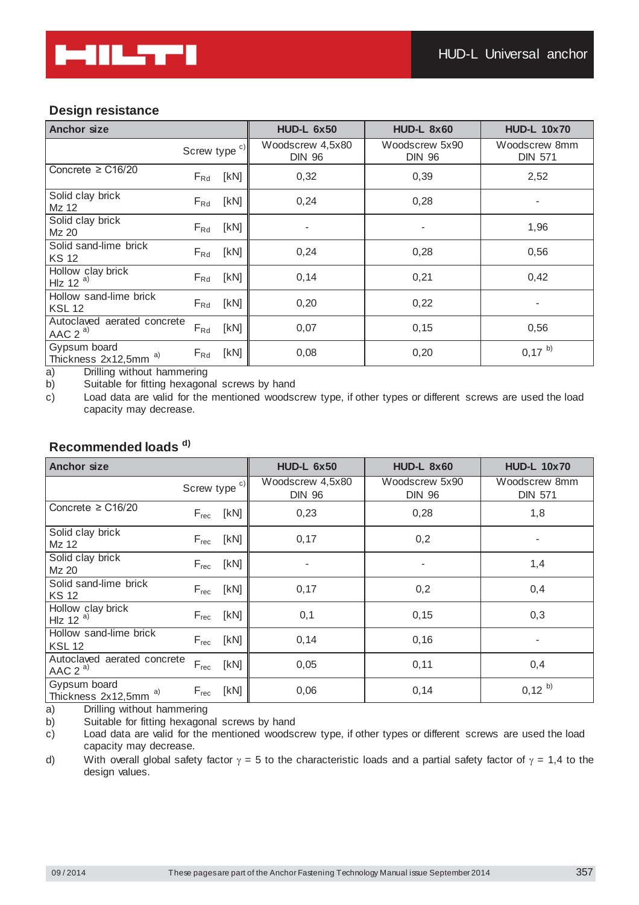# **Design resistance**

| <b>Anchor size</b>                         |                  | <b>HUD-L 6x50</b>                 | <b>HUD-L 8x60</b>               | <b>HUD-L 10x70</b>              |
|--------------------------------------------|------------------|-----------------------------------|---------------------------------|---------------------------------|
|                                            | Screw type $c)$  | Woodscrew 4,5x80<br><b>DIN 96</b> | Woodscrew 5x90<br><b>DIN 96</b> | Woodscrew 8mm<br><b>DIN 571</b> |
| Concrete $\geq$ C16/20                     | [KN]<br>$F_{Rd}$ | 0,32                              | 0,39                            | 2,52                            |
| Solid clay brick<br>Mz 12                  | [KN]<br>$F_{Rd}$ | 0,24                              | 0,28                            |                                 |
| Solid clay brick<br>Mz 20                  | [KN]<br>$F_{Rd}$ |                                   | ٠                               | 1,96                            |
| Solid sand-lime brick<br><b>KS 12</b>      | [KN]<br>$F_{Rd}$ | 0,24                              | 0,28                            | 0,56                            |
| Hollow clay brick<br>HIz 12 $a)$           | [kN]<br>$F_{Rd}$ | 0,14                              | 0,21                            | 0,42                            |
| Hollow sand-lime brick<br><b>KSL 12</b>    | [KN]<br>$F_{Rd}$ | 0,20                              | 0,22                            |                                 |
| Autoclaved aerated concrete<br>AAC $2^{a}$ | $F_{Rd}$<br>[kN] | 0,07                              | 0, 15                           | 0,56                            |
| Gypsum board<br>a)<br>Thickness 2x12,5mm   | [KN]<br>$F_{Rd}$ | 0,08                              | 0,20                            | $0,17^{b}$                      |

a) Drilling without hammering

b) Suitable for fitting hexagonal screws by hand

c) Load data are valid for the mentioned woodscrew type, if other types or different screws are used the load capacity may decrease.

# **Recommended loads d)**

| <b>Anchor size</b>                               |                          | <b>HUD-L 6x50</b>                 | <b>HUD-L 8x60</b>               | <b>HUD-L 10x70</b>              |
|--------------------------------------------------|--------------------------|-----------------------------------|---------------------------------|---------------------------------|
|                                                  | Screw type <sup>c)</sup> | Woodscrew 4,5x80<br><b>DIN 96</b> | Woodscrew 5x90<br><b>DIN 96</b> | Woodscrew 8mm<br><b>DIN 571</b> |
| Concrete $\geq$ C16/20                           | [KN]<br>$F_{\rm rec}$    | 0,23                              | 0,28                            | 1,8                             |
| Solid clay brick<br>Mz 12                        | [KN]<br>$F_{rec}$        | 0,17                              | 0,2                             |                                 |
| Solid clay brick<br>Mz 20                        | [KN]<br>$F_{rec}$        |                                   | $\overline{\phantom{0}}$        | 1,4                             |
| Solid sand-lime brick<br><b>KS 12</b>            | [KN]<br>$F_{rec}$        | 0,17                              | 0,2                             | 0,4                             |
| Hollow clay brick<br>HIz 12 $a)$                 | [KN]<br>$F_{rec}$        | 0,1                               | 0, 15                           | 0,3                             |
| Hollow sand-lime brick<br><b>KSL 12</b>          | [kN]<br>$F_{\text{rec}}$ | 0,14                              | 0,16                            |                                 |
| Autoclaved aerated concrete<br>AAC $2^{a}$       | $F_{rec}$<br>[KN]        | 0,05                              | 0,11                            | 0,4                             |
| Gypsum board<br>Thickness 2x12,5mm <sup>a)</sup> | [kN]<br>$F_{rec}$        | 0,06                              | 0,14                            | $0,12^{b}$                      |

a) Drilling without hammering

b) Suitable for fitting hexagonal screws by hand

c) Load data are valid for the mentioned woodscrew type, if other types or different screws are used the load capacity may decrease.

d) With overall global safety factor  $\gamma = 5$  to the characteristic loads and a partial safety factor of  $\gamma = 1,4$  to the design values.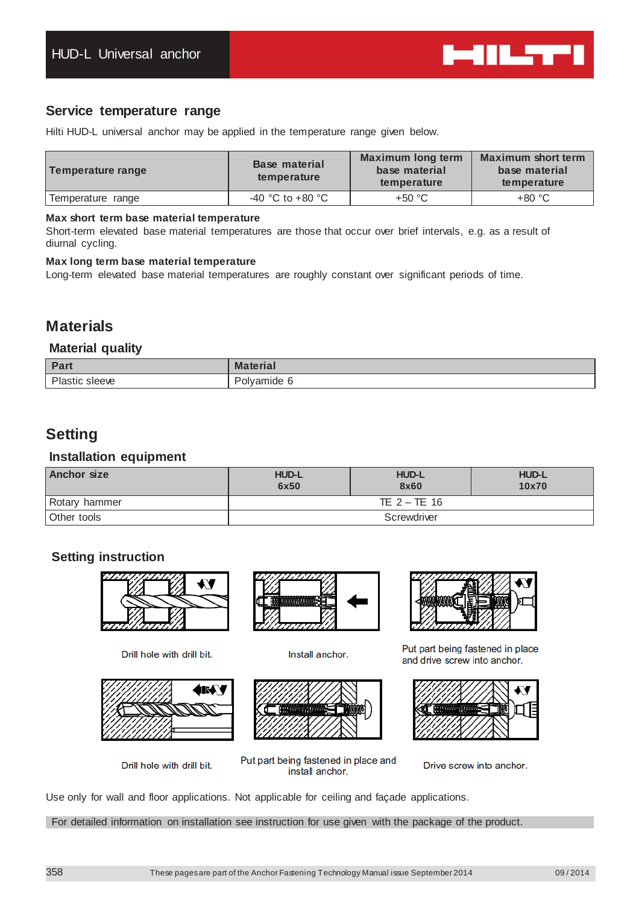

# **Service temperature range**

Hilti HUD-L universal anchor may be applied in the temperature range given below.

| Temperature range | <b>Base material</b><br>temperature | <b>Maximum long term</b><br>base material<br>temperature | <b>Maximum short term</b><br>base material<br>temperature |
|-------------------|-------------------------------------|----------------------------------------------------------|-----------------------------------------------------------|
| Temperature range | $-40$ °C to $+80$ °C                | $+50 °C$                                                 | $+80 °C$                                                  |

## **Max short term base material temperature**

Short-term elevated base material temperatures are those that occur over brief intervals, e.g. as a result of diurnal cycling.

### **Max long term base material temperature**

Long-term elevated base material temperatures are roughly constant over significant periods of time.

# **Materials**

## **Material quality**

| Dom<br>αιι    | <b>Material</b>      |
|---------------|----------------------|
| DL.<br>sleeve | D-1<br>vamide<br>ΟIV |

# **Setting**

## **Installation equipment**

| <b>Anchor size</b> | <b>HUD-L</b><br>6x50 | <b>HUD-L</b><br>8x60 | <b>HUD-L</b><br>10x70 |  |  |
|--------------------|----------------------|----------------------|-----------------------|--|--|
| Rotary hammer      | TE $2 - TE$ 16       |                      |                       |  |  |
| Other tools        | Screwdriver          |                      |                       |  |  |

# **Setting instruction**



Drill hole with drill bit.



Drill hole with drill bit.



Install anchor.



Put part being fastened in place and

install anchor.



Put part being fastened in place and drive screw into anchor.



Drive screw into anchor.

Use only for wall and floor applications. Not applicable for ceiling and façade applications.

For detailed information on installation see instruction for use given with the package of the product.